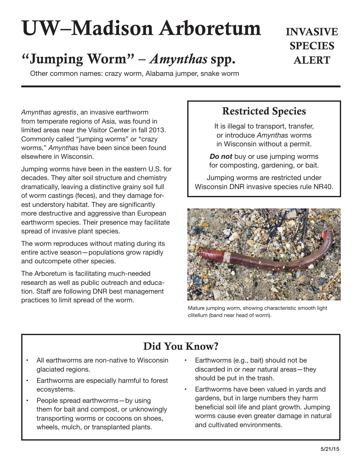# UW–Madison Arboretum

# "Jumping Worm" – *Amynthas* spp. ALERT

Other common names: crazy worm, Alabama jumper, snake worm

*Amynthas agrestis*, an invasive earthworm from temperate regions of Asia, was found in limited areas near the Visitor Center in fall 2013. Commonly called "jumping worms" or "crazy worms," *Amynthas* have been since been found elsewhere in Wisconsin.

Jumping worms have been in the eastern U.S. for decades. They alter soil structure and chemistry dramatically, leaving a distinctive grainy soil full of worm castings (feces), and they damage forest understory habitat. They are significantly more destructive and aggressive than European earthworm species. Their presence may facilitate spread of invasive plant species.

The worm reproduces without mating during its entire active season—populations grow rapidly and outcompete other species.

The Arboretum is facilitating much-needed research as well as public outreach and education. Staff are following DNR best management practices to limit spread of the worm.

### Restricted Species

INVASIVE

**SPECIES** 

It is illegal to transport, transfer, or introduce *Amynthas* worms in Wisconsin without a permit.

*Do not* buy or use jumping worms for composting, gardening, or bait.

Jumping worms are restricted under Wisconsin DNR invasive species rule NR40.



Mature jumping worm, showing characteristic smooth light clitellum (band near head of worm).

## Did You Know?

- All earthworms are non-native to Wisconsin glaciated regions.
- Earthworms are especially harmful to forest ecosystems.
- People spread earthworms-by using them for bait and compost, or unknowingly transporting worms or cocoons on shoes, wheels, mulch, or transplanted plants.
- Earthworms (e.g., bait) should not be discarded in or near natural areas—they should be put in the trash.
- Earthworms have been valued in yards and gardens, but in large numbers they harm beneficial soil life and plant growth. Jumping worms cause even greater damage in natural and cultivated environments.